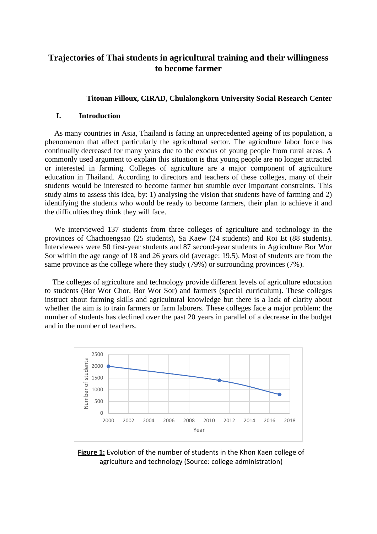# **Trajectories of Thai students in agricultural training and their willingness to become farmer**

# **Titouan Filloux, CIRAD, Chulalongkorn University Social Research Center**

## **I. Introduction**

 As many countries in Asia, Thailand is facing an unprecedented ageing of its population, a phenomenon that affect particularly the agricultural sector. The agriculture labor force has continually decreased for many years due to the exodus of young people from rural areas. A commonly used argument to explain this situation is that young people are no longer attracted or interested in farming. Colleges of agriculture are a major component of agriculture education in Thailand. According to directors and teachers of these colleges, many of their students would be interested to become farmer but stumble over important constraints. This study aims to assess this idea, by: 1) analysing the vision that students have of farming and 2) identifying the students who would be ready to become farmers, their plan to achieve it and the difficulties they think they will face.

 We interviewed 137 students from three colleges of agriculture and technology in the provinces of Chachoengsao (25 students), Sa Kaew (24 students) and Roi Et (88 students). Interviewees were 50 first-year students and 87 second-year students in Agriculture Bor Wor Sor within the age range of 18 and 26 years old (average: 19.5). Most of students are from the same province as the college where they study (79%) or surrounding provinces (7%).

 The colleges of agriculture and technology provide different levels of agriculture education to students (Bor Wor Chor, Bor Wor Sor) and farmers (special curriculum). These colleges instruct about farming skills and agricultural knowledge but there is a lack of clarity about whether the aim is to train farmers or farm laborers. These colleges face a major problem: the number of students has declined over the past 20 years in parallel of a decrease in the budget and in the number of teachers.



**Figure 1:** Evolution of the number of students in the Khon Kaen college of agriculture and technology (Source: college administration)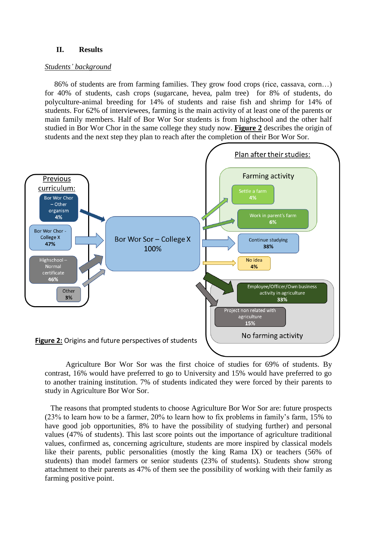## **II. Results**

#### *Students' background*

 86% of students are from farming families. They grow food crops (rice, cassava, corn…) for 40% of students, cash crops (sugarcane, hevea, palm tree) for 8% of students, do polyculture-animal breeding for 14% of students and raise fish and shrimp for 14% of students. For 62% of interviewees, farming is the main activity of at least one of the parents or main family members. Half of Bor Wor Sor students is from highschool and the other half studied in Bor Wor Chor in the same college they study now. **Figure 2** describes the origin of students and the next step they plan to reach after the completion of their Bor Wor Sor.



 Agriculture Bor Wor Sor was the first choice of studies for 69% of students. By contrast, 16% would have preferred to go to University and 15% would have preferred to go to another training institution. 7% of students indicated they were forced by their parents to study in Agriculture Bor Wor Sor.

 The reasons that prompted students to choose Agriculture Bor Wor Sor are: future prospects (23% to learn how to be a farmer, 20% to learn how to fix problems in family's farm, 15% to have good job opportunities, 8% to have the possibility of studying further) and personal values (47% of students). This last score points out the importance of agriculture traditional values, confirmed as, concerning agriculture, students are more inspired by classical models like their parents, public personalities (mostly the king Rama IX) or teachers (56% of students) than model farmers or senior students (23% of students). Students show strong attachment to their parents as 47% of them see the possibility of working with their family as farming positive point.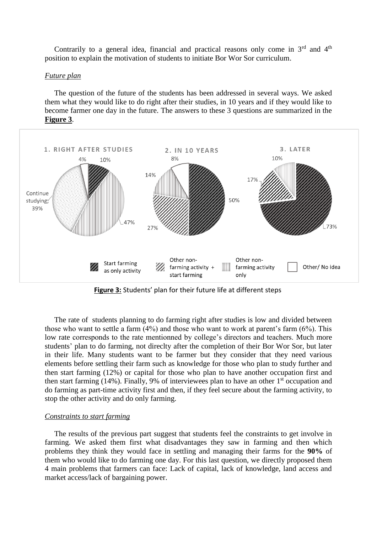Contrarily to a general idea, financial and practical reasons only come in  $3<sup>rd</sup>$  and  $4<sup>th</sup>$ position to explain the motivation of students to initiate Bor Wor Sor curriculum.

### *Future plan*

 The question of the future of the students has been addressed in several ways. We asked them what they would like to do right after their studies, in 10 years and if they would like to become farmer one day in the future. The answers to these 3 questions are summarized in the **Figure 3**.



**Figure 3:** Students' plan for their future life at different steps

 The rate of students planning to do farming right after studies is low and divided between those who want to settle a farm (4%) and those who want to work at parent's farm (6%). This low rate corresponds to the rate mentionned by college's directors and teachers. Much more students' plan to do farming, not direclty after the completion of their Bor Wor Sor, but later in their life. Many students want to be farmer but they consider that they need various elements before settling their farm such as knowledge for those who plan to study further and then start farming (12%) or capital for those who plan to have another occupation first and then start farming (14%). Finally, 9% of interviewees plan to have an other  $1<sup>st</sup>$  occupation and do farming as part-time activity first and then, if they feel secure about the farming activity, to stop the other activity and do only farming.

#### *Constraints to start farming*

 The results of the previous part suggest that students feel the constraints to get involve in farming. We asked them first what disadvantages they saw in farming and then which problems they think they would face in settling and managing their farms for the **90%** of them who would like to do farming one day. For this last question, we directly proposed them 4 main problems that farmers can face: Lack of capital, lack of knowledge, land access and market access/lack of bargaining power.